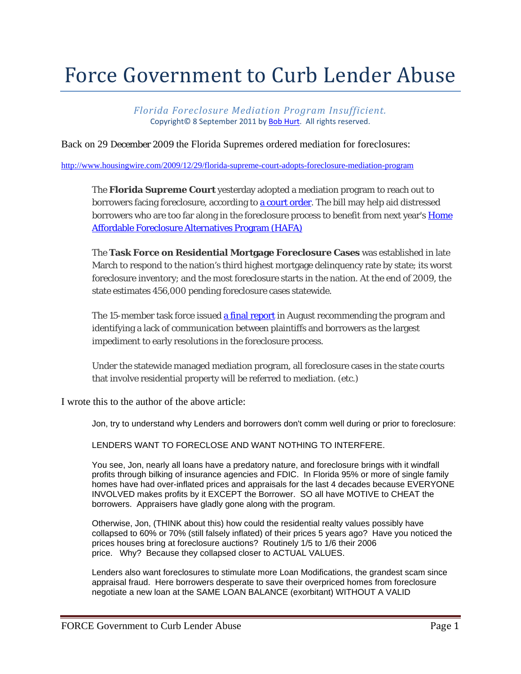## Force Government to Curb Lender Abuse

*Florida Foreclosure Mediation Program Insufficient.* Copyright© 8 September 2011 by Bob Hurt. All rights reserved.

Back on 29 December 2009 the Florida Supremes ordered mediation for foreclosures:

http://www.housingwire.com/2009/12/29/florida-supreme-court-adopts-foreclosure-mediation-program

The **Florida Supreme Court** yesterday adopted a mediation program to reach out to borrowers facing foreclosure, according to a court order. The bill may help aid distressed borrowers who are too far along in the foreclosure process to benefit from next year's **Home** Affordable Foreclosure Alternatives Program (HAFA)

The **Task Force on Residential Mortgage Foreclosure Cases** was established in late March to respond to the nation's third highest mortgage delinquency rate by state; its worst foreclosure inventory; and the most foreclosure starts in the nation. At the end of 2009, the state estimates 456,000 pending foreclosure cases statewide.

The 15-member task force issued a final report in August recommending the program and identifying a lack of communication between plaintiffs and borrowers as the largest impediment to early resolutions in the foreclosure process.

Under the statewide managed mediation program, all foreclosure cases in the state courts that involve residential property will be referred to mediation. (etc.)

I wrote this to the author of the above article:

Jon, try to understand why Lenders and borrowers don't comm well during or prior to foreclosure:

LENDERS WANT TO FORECLOSE AND WANT NOTHING TO INTERFERE.

You see, Jon, nearly all loans have a predatory nature, and foreclosure brings with it windfall profits through bilking of insurance agencies and FDIC. In Florida 95% or more of single family homes have had over-inflated prices and appraisals for the last 4 decades because EVERYONE INVOLVED makes profits by it EXCEPT the Borrower. SO all have MOTIVE to CHEAT the borrowers. Appraisers have gladly gone along with the program.

Otherwise, Jon, (THINK about this) how could the residential realty values possibly have collapsed to 60% or 70% (still falsely inflated) of their prices 5 years ago? Have you noticed the prices houses bring at foreclosure auctions? Routinely 1/5 to 1/6 their 2006 price. Why? Because they collapsed closer to ACTUAL VALUES.

Lenders also want foreclosures to stimulate more Loan Modifications, the grandest scam since appraisal fraud. Here borrowers desperate to save their overpriced homes from foreclosure negotiate a new loan at the SAME LOAN BALANCE (exorbitant) WITHOUT A VALID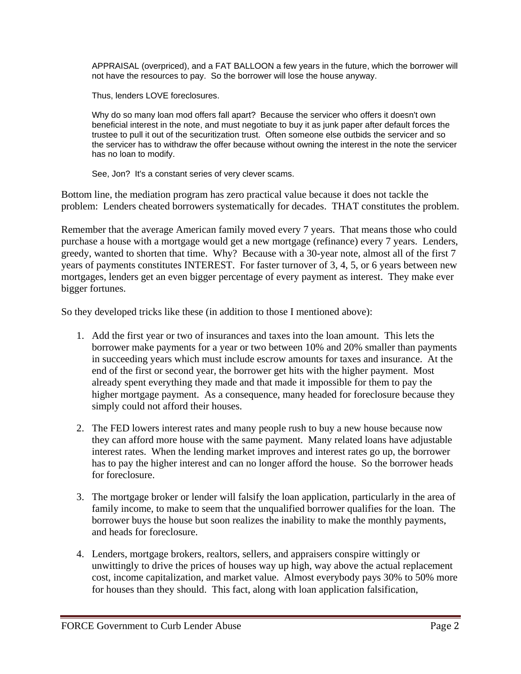APPRAISAL (overpriced), and a FAT BALLOON a few years in the future, which the borrower will not have the resources to pay. So the borrower will lose the house anyway.

Thus, lenders LOVE foreclosures.

Why do so many loan mod offers fall apart? Because the servicer who offers it doesn't own beneficial interest in the note, and must negotiate to buy it as junk paper after default forces the trustee to pull it out of the securitization trust. Often someone else outbids the servicer and so the servicer has to withdraw the offer because without owning the interest in the note the servicer has no loan to modify.

See, Jon? It's a constant series of very clever scams.

Bottom line, the mediation program has zero practical value because it does not tackle the problem: Lenders cheated borrowers systematically for decades. THAT constitutes the problem.

Remember that the average American family moved every 7 years. That means those who could purchase a house with a mortgage would get a new mortgage (refinance) every 7 years. Lenders, greedy, wanted to shorten that time. Why? Because with a 30-year note, almost all of the first 7 years of payments constitutes INTEREST. For faster turnover of 3, 4, 5, or 6 years between new mortgages, lenders get an even bigger percentage of every payment as interest. They make ever bigger fortunes.

So they developed tricks like these (in addition to those I mentioned above):

- 1. Add the first year or two of insurances and taxes into the loan amount. This lets the borrower make payments for a year or two between 10% and 20% smaller than payments in succeeding years which must include escrow amounts for taxes and insurance. At the end of the first or second year, the borrower get hits with the higher payment. Most already spent everything they made and that made it impossible for them to pay the higher mortgage payment. As a consequence, many headed for foreclosure because they simply could not afford their houses.
- 2. The FED lowers interest rates and many people rush to buy a new house because now they can afford more house with the same payment. Many related loans have adjustable interest rates. When the lending market improves and interest rates go up, the borrower has to pay the higher interest and can no longer afford the house. So the borrower heads for foreclosure.
- 3. The mortgage broker or lender will falsify the loan application, particularly in the area of family income, to make to seem that the unqualified borrower qualifies for the loan. The borrower buys the house but soon realizes the inability to make the monthly payments, and heads for foreclosure.
- 4. Lenders, mortgage brokers, realtors, sellers, and appraisers conspire wittingly or unwittingly to drive the prices of houses way up high, way above the actual replacement cost, income capitalization, and market value. Almost everybody pays 30% to 50% more for houses than they should. This fact, along with loan application falsification,